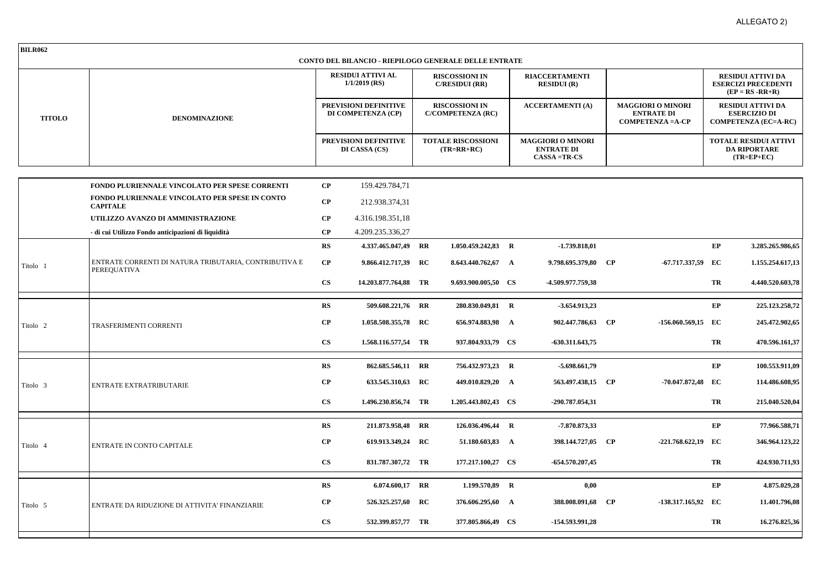| <b>BILR062</b>      |                                                                             |                                                                                                                                      |                     |                                                                                                                                                  | <b>CONTO DEL BILANCIO - RIEPILOGO GENERALE DELLE ENTRATE</b> |                                                                  |                                                                 |  |                                                                          |    |                                                                                                                                                       |
|---------------------|-----------------------------------------------------------------------------|--------------------------------------------------------------------------------------------------------------------------------------|---------------------|--------------------------------------------------------------------------------------------------------------------------------------------------|--------------------------------------------------------------|------------------------------------------------------------------|-----------------------------------------------------------------|--|--------------------------------------------------------------------------|----|-------------------------------------------------------------------------------------------------------------------------------------------------------|
| <b>TITOLO</b>       | <b>DENOMINAZIONE</b>                                                        | <b>RESIDUI ATTIVI AL</b><br>$1/1/2019$ (RS)<br>PREVISIONI DEFINITIVE<br>DI COMPETENZA (CP)<br>PREVISIONI DEFINITIVE<br>DI CASSA (CS) |                     | <b>RISCOSSIONI IN</b><br><b>C/RESIDUI (RR)</b><br><b>RISCOSSIONI IN</b><br><b>C/COMPETENZA (RC)</b><br><b>TOTALE RISCOSSIONI</b><br>$(TR=RR+RC)$ |                                                              |                                                                  | <b>RIACCERTAMENTI</b><br>RESIDUI (R)<br><b>ACCERTAMENTI (A)</b> |  |                                                                          |    | <b>RESIDUI ATTIVI DA</b><br><b>ESERCIZI PRECEDENTI</b><br>$(EP = RS - RR + R)$                                                                        |
|                     |                                                                             |                                                                                                                                      |                     |                                                                                                                                                  |                                                              |                                                                  |                                                                 |  | <b>MAGGIORI O MINORI</b><br><b>ENTRATE DI</b><br><b>COMPETENZA =A-CP</b> |    | <b>RESIDUI ATTIVI DA</b><br><b>ESERCIZIO DI</b><br><b>COMPETENZA (EC=A-RC)</b><br><b>TOTALE RESIDUI ATTIVI</b><br><b>DA RIPORTARE</b><br>$(TR=EP+EC)$ |
|                     |                                                                             |                                                                                                                                      |                     |                                                                                                                                                  |                                                              | <b>MAGGIORI O MINORI</b><br><b>ENTRATE DI</b><br>$CASSA = TR-CS$ |                                                                 |  |                                                                          |    |                                                                                                                                                       |
|                     | FONDO PLURIENNALE VINCOLATO PER SPESE CORRENTI                              | $\bf CP$                                                                                                                             | 159.429.784,71      |                                                                                                                                                  |                                                              |                                                                  |                                                                 |  |                                                                          |    |                                                                                                                                                       |
|                     | FONDO PLURIENNALE VINCOLATO PER SPESE IN CONTO                              |                                                                                                                                      |                     |                                                                                                                                                  |                                                              |                                                                  |                                                                 |  |                                                                          |    |                                                                                                                                                       |
|                     | <b>CAPITALE</b>                                                             | $\bf CP$                                                                                                                             | 212.938.374,31      |                                                                                                                                                  |                                                              |                                                                  |                                                                 |  |                                                                          |    |                                                                                                                                                       |
|                     | UTILIZZO AVANZO DI AMMINISTRAZIONE                                          | $\bf CP$                                                                                                                             | 4.316.198.351,18    |                                                                                                                                                  |                                                              |                                                                  |                                                                 |  |                                                                          |    |                                                                                                                                                       |
|                     | - di cui Utilizzo Fondo anticipazioni di liquidità                          | CP<br>RS                                                                                                                             | 4.209.235.336,27    |                                                                                                                                                  |                                                              |                                                                  |                                                                 |  |                                                                          | EP |                                                                                                                                                       |
| Titolo 1            |                                                                             |                                                                                                                                      | 4.337.465.047,49 RR |                                                                                                                                                  | 1.050.459.242,83 R                                           |                                                                  | $-1.739.818,01$                                                 |  |                                                                          |    | 3.285.265.986,65                                                                                                                                      |
|                     | ENTRATE CORRENTI DI NATURA TRIBUTARIA, CONTRIBUTIVA E<br><b>PEREQUATIVA</b> | $\bf CP$                                                                                                                             | 9.866.412.717,39 RC |                                                                                                                                                  | 8.643.440.762,67 A                                           |                                                                  | 9.798.695.379,80 CP                                             |  | -67.717.337,59 EC                                                        |    | 1.155.254.617,13                                                                                                                                      |
|                     |                                                                             | $\mathbf{CS}$                                                                                                                        | 14.203.877.764,88   | TR                                                                                                                                               | 9.693.900.005,50 CS                                          |                                                                  | -4.509.977.759.38                                               |  |                                                                          | TR | 4.440.520.603,78                                                                                                                                      |
| Titolo <sub>2</sub> | TRASFERIMENTI CORRENTI                                                      | RS                                                                                                                                   | 509.608.221,76 RR   |                                                                                                                                                  | 280.830.049,81 R                                             |                                                                  | -3.654.913,23                                                   |  |                                                                          | EP | 225.123.258,72                                                                                                                                        |
|                     |                                                                             | $\bf CP$                                                                                                                             | 1.058.508.355,78 RC |                                                                                                                                                  | 656.974.883,98 A                                             |                                                                  | 902.447.786,63 CP                                               |  | -156.060.569,15 EC                                                       |    | 245.472.902,65                                                                                                                                        |
|                     |                                                                             | $\mathbf{CS}$                                                                                                                        | 1.568.116.577,54 TR |                                                                                                                                                  | 937.804.933,79 CS                                            |                                                                  | $-630.311.643.75$                                               |  |                                                                          | TR | 470.596.161,37                                                                                                                                        |
| Titolo 3            |                                                                             | RS                                                                                                                                   | 862.685.546,11 RR   |                                                                                                                                                  | 756.432.973,23 R                                             |                                                                  | $-5.698.661,79$                                                 |  |                                                                          | EP | 100.553.911,09                                                                                                                                        |
|                     | ENTRATE EXTRATRIBUTARIE                                                     | $\bf CP$                                                                                                                             | 633.545.310,63 RC   |                                                                                                                                                  | 449.010.829,20 A                                             |                                                                  | 563.497.438,15 CP                                               |  | -70.047.872,48 EC                                                        |    | 114.486.608,95                                                                                                                                        |
|                     |                                                                             | $\mathbf{C}\mathbf{S}$                                                                                                               | 1.496.230.856,74 TR |                                                                                                                                                  | 1.205.443.802,43 CS                                          |                                                                  | -290.787.054.31                                                 |  |                                                                          | TR | 215.040.520.04                                                                                                                                        |
| Titolo 4            |                                                                             | RS                                                                                                                                   | 211.873.958,48 RR   |                                                                                                                                                  | 126.036.496,44 R                                             |                                                                  | -7.870.873,33                                                   |  |                                                                          | EP | 77.966.588,71                                                                                                                                         |
|                     | ENTRATE IN CONTO CAPITALE                                                   | $\bf CP$                                                                                                                             | 619.913.349,24 RC   |                                                                                                                                                  | 51.180.603,83 A                                              |                                                                  | 398.144.727,05 CP                                               |  | -221.768.622,19 EC                                                       |    | 346.964.123,22                                                                                                                                        |
|                     |                                                                             | $\mathbf{CS}$                                                                                                                        | 831.787.307,72 TR   |                                                                                                                                                  | 177.217.100,27 CS                                            |                                                                  | $-654.570.207,45$                                               |  |                                                                          | TR | 424.930.711,93                                                                                                                                        |
|                     |                                                                             | RS                                                                                                                                   | 6.074.600,17 RR     |                                                                                                                                                  | 1.199.570,89 R                                               |                                                                  | 0,00                                                            |  |                                                                          | EP | 4.875.029,28                                                                                                                                          |
| Titolo 5            | ENTRATE DA RIDUZIONE DI ATTIVITA' FINANZIARIE                               | $\bf CP$                                                                                                                             | 526.325.257,60 RC   |                                                                                                                                                  | 376.606.295,60 A                                             |                                                                  | 388.008.091,68 CP                                               |  | -138.317.165,92 EC                                                       |    | 11.401.796,08                                                                                                                                         |
|                     |                                                                             | $\mathbf{C}\mathbf{S}$                                                                                                               | 532.399.857,77 TR   |                                                                                                                                                  | 377.805.866,49 CS                                            |                                                                  | -154.593.991,28                                                 |  |                                                                          | TR | 16.276.825,36                                                                                                                                         |